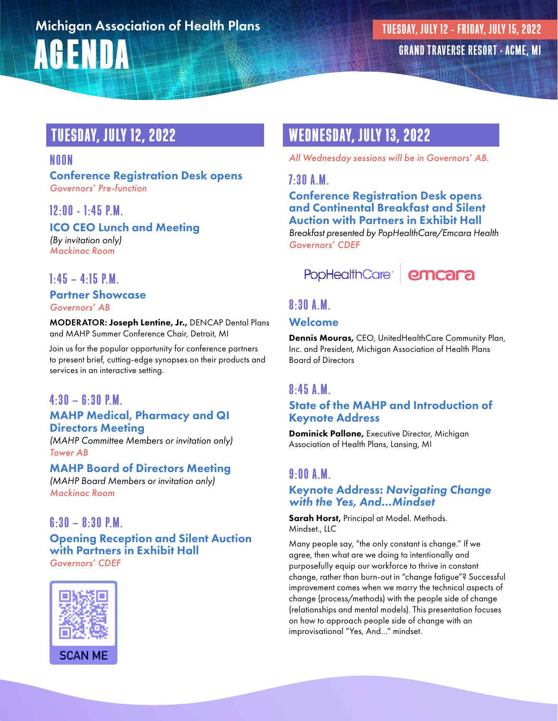# AGENDA Michigan Association of Health Plans

# TUESDAY, JULY 12, 2022

### NOON

Conference Registration Desk opens *Governors' Pre-function*

# 12:00 - 1:45 P.M.

ICO CEO Lunch and Meeting *(By invitation only) Mackinac Room*

# $1:45 - 4:15$  P.M.

### Partner Showcase *Governors' AB*

MODERATOR: Joseph Lentine, Jr., DENCAP Dental Plans and MAHP Summer Conference Chair, Detroit, MI

Join us for the popular opportunity for conference partners to present brief, cutting-edge synopses on their products and services in an interactive setting.

# $4:30 - 6:30$  P.M.

### MAHP Medical, Pharmacy and QI Directors Meeting

*(MAHP Committee Members or invitation only) Tower AB*

### MAHP Board of Directors Meeting

*(MAHP Board Members or invitation only) Mackinac Room*

# $6:30 - 8:30 P.M.$

### Opening Reception and Silent Auction with Partners in Exhibit Hall *Governors' CDEF*



# WEDNESDAY, JULY 13, 2022

*All Wednesday sessions will be in Governors' AB.*

### 7:30 A.M.

Conference Registration Desk opens and Continental Breakfast and Silent Auction with Partners in Exhibit Hall *Breakfast presented by PopHealthCare/Emcara Health Governors' CDEF*



# 8:30 A.M.

### Welcome

Dennis Mouras, CEO, UnitedHealthCare Community Plan, Inc. and President, Michigan Association of Health Plans Board of Directors

### 8:45 A.M.

### State of the MAHP and Introduction of Keynote Address

Dominick Pallone, Executive Director, Michigan Association of Health Plans, Lansing, MI

# 9:00 A.M.

### Keynote Address: *Navigating Change with the Yes, And…Mindset*

Sarah Horst, Principal at Model. Methods. Mindset., LLC

Many people say, "the only constant is change." If we agree, then what are we doing to intentionally and purposefully equip our workforce to thrive in constant change, rather than burn-out in "change fatigue"? Successful improvement comes when we marry the technical aspects of change (process/methods) with the people side of change (relationships and mental models). This presentation focuses on how to approach people side of change with an improvisational "Yes, And…" mindset.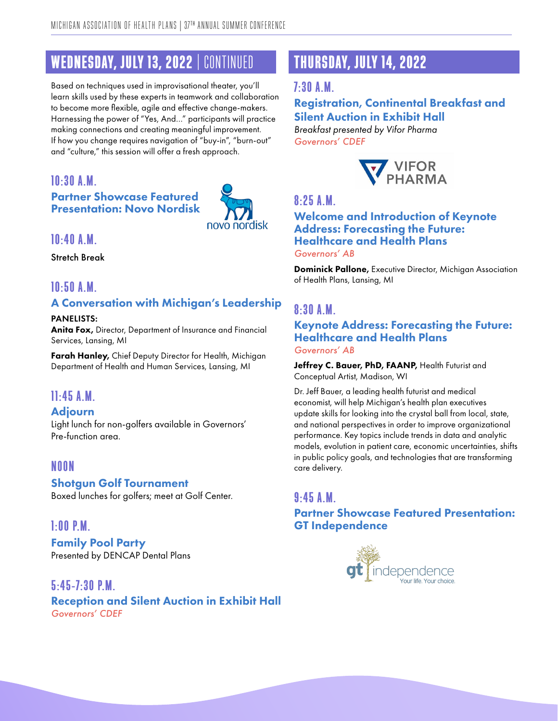# WEDNESDAY, JULY 13, 2022 | CONTINUED

Based on techniques used in improvisational theater, you'll learn skills used by these experts in teamwork and collaboration to become more flexible, agile and effective change-makers. Harnessing the power of "Yes, And…" participants will practice making connections and creating meaningful improvement. If how you change requires navigation of "buy-in", "burn-out" and "culture," this session will offer a fresh approach.

### 10:30 A.M. Partner Showcase Featured Presentation: Novo Nordisk



### 10:40 A.M.

Stretch Break

# 10:50 A.M.

### A Conversation with Michigan's Leadership

PANELISTS: Anita Fox, Director, Department of Insurance and Financial Services, Lansing, MI

Farah Hanley, Chief Deputy Director for Health, Michigan Department of Health and Human Services, Lansing, MI

# 11:45 A.M.

### Adjourn

Light lunch for non-golfers available in Governors' Pre-function area.

# NOON

### Shotgun Golf Tournament

Boxed lunches for golfers; meet at Golf Center.

### 1:00 P.M.

Family Pool Party Presented by DENCAP Dental Plans

5:45-7:30 P.M. Reception and Silent Auction in Exhibit Hall *Governors' CDEF*

# THURSDAY, JULY 14, 2022

### 7:30 A.M.

Registration, Continental Breakfast and Silent Auction in Exhibit Hall *Breakfast presented by Vifor Pharma Governors' CDEF*



# 8:25 A.M.

#### Welcome and Introduction of Keynote Address: Forecasting the Future: Healthcare and Health Plans *Governors' AB*

**Dominick Pallone, Executive Director, Michigan Association** of Health Plans, Lansing, MI

# 8:30 A.M.

Keynote Address: Forecasting the Future: Healthcare and Health Plans *Governors' AB*

Jeffrey C. Bauer, PhD, FAANP, Health Futurist and Conceptual Artist, Madison, WI

Dr. Jeff Bauer, a leading health futurist and medical economist, will help Michigan's health plan executives update skills for looking into the crystal ball from local, state, and national perspectives in order to improve organizational performance. Key topics include trends in data and analytic models, evolution in patient care, economic uncertainties, shifts in public policy goals, and technologies that are transforming care delivery.

### 9:45 A.M.

Partner Showcase Featured Presentation: GT Independence

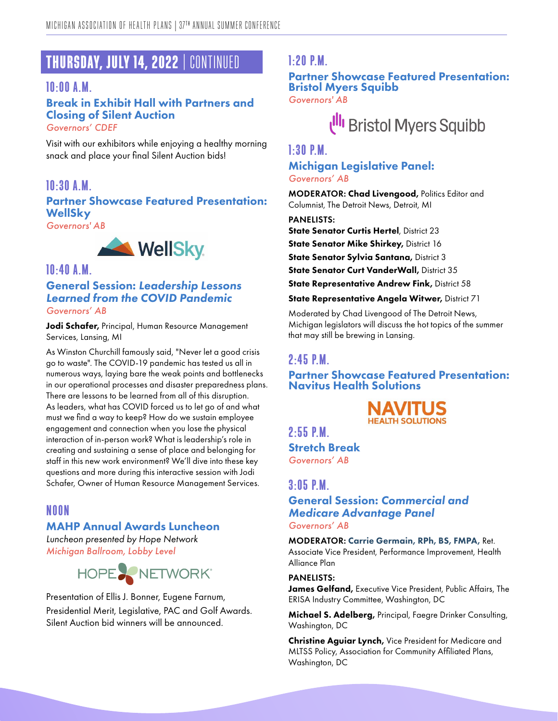# THURSDAY, JULY 14, 2022 | CONTINUED

### 10:00 A.M.

### Break in Exhibit Hall with Partners and Closing of Silent Auction *Governors' CDEF*

Visit with our exhibitors while enjoying a healthy morning snack and place your final Silent Auction bids!

# 10:30 A.M. Partner Showcase Featured Presentation: WellSky

*Governors' AB*



### 10:40 A.M. General Session: *Leadership Lessons Learned from the COVID Pandemic Governors' AB*

Jodi Schafer, Principal, Human Resource Management Services, Lansing, MI

As Winston Churchill famously said, "Never let a good crisis go to waste". The COVID-19 pandemic has tested us all in numerous ways, laying bare the weak points and bottlenecks in our operational processes and disaster preparedness plans. There are lessons to be learned from all of this disruption. As leaders, what has COVID forced us to let go of and what must we find a way to keep? How do we sustain employee engagement and connection when you lose the physical interaction of in-person work? What is leadership's role in creating and sustaining a sense of place and belonging for staff in this new work environment? We'll dive into these key questions and more during this interactive session with Jodi Schafer, Owner of Human Resource Management Services.

# NOON

### MAHP Annual Awards Luncheon

*Luncheon presented by Hope Network Michigan Ballroom, Lobby Level*



Presentation of Ellis J. Bonner, Eugene Farnum, Presidential Merit, Legislative, PAC and Golf Awards. Silent Auction bid winners will be announced.

### 1:20 P.M.

#### Partner Showcase Featured Presentation: Bristol Myers Squibb *Governors' AB*

# Ull Bristol Myers Squibb

#### 1:30 P.M.

### Michigan Legislative Panel: *Governors' AB*

MODERATOR: Chad Livengood, Politics Editor and Columnist, The Detroit News, Detroit, MI

PANELISTS:

**State Senator Curtis Hertel, District 23** 

State Senator Mike Shirkey, District 16

State Senator Sylvia Santana, District 3

State Senator Curt VanderWall, District 35

**State Representative Andrew Fink, District 58** 

State Representative Angela Witwer, District 71

Moderated by Chad Livengood of The Detroit News, Michigan legislators will discuss the hot topics of the summer that may still be brewing in Lansing.

### 2:45 P.M.

Partner Showcase Featured Presentation: Navitus Health Solutions



 $2.55$  PM

Stretch Break *Governors' AB*

### $3.05$  PM

### General Session: *Commercial and Medicare Advantage Panel Governors' AB*

MODERATOR: Carrie Germain, RPh, BS, FMPA, Ret. Associate Vice President, Performance Improvement, Health Alliance Plan

#### PANELISTS:

James Gelfand, Executive Vice President, Public Affairs, The ERISA Industry Committee, Washington, DC

Michael S. Adelberg, Principal, Faegre Drinker Consulting, Washington, DC

Christine Aguiar Lynch, Vice President for Medicare and MLTSS Policy, Association for Community Affiliated Plans, Washington, DC